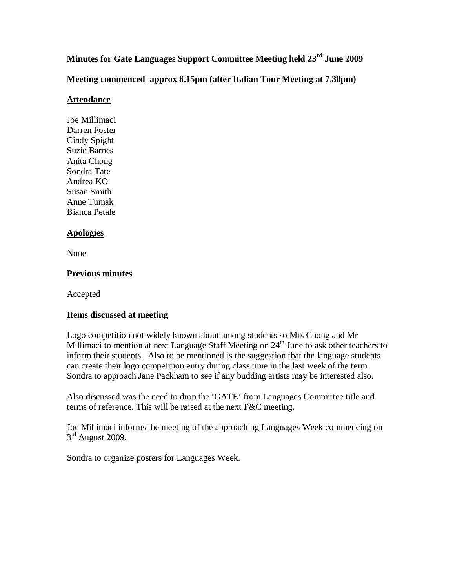**Minutes for Gate Languages Support Committee Meeting held 23rd June 2009** 

**Meeting commenced approx 8.15pm (after Italian Tour Meeting at 7.30pm)** 

## **Attendance**

Joe Millimaci Darren Foster Cindy Spight Suzie Barnes Anita Chong Sondra Tate Andrea KO Susan Smith Anne Tumak Bianca Petale

## **Apologies**

None

## **Previous minutes**

Accepted

## **Items discussed at meeting**

Logo competition not widely known about among students so Mrs Chong and Mr Millimaci to mention at next Language Staff Meeting on  $24<sup>th</sup>$  June to ask other teachers to inform their students. Also to be mentioned is the suggestion that the language students can create their logo competition entry during class time in the last week of the term. Sondra to approach Jane Packham to see if any budding artists may be interested also.

Also discussed was the need to drop the 'GATE' from Languages Committee title and terms of reference. This will be raised at the next P&C meeting.

Joe Millimaci informs the meeting of the approaching Languages Week commencing on  $3<sup>rd</sup>$  August 2009.

Sondra to organize posters for Languages Week.